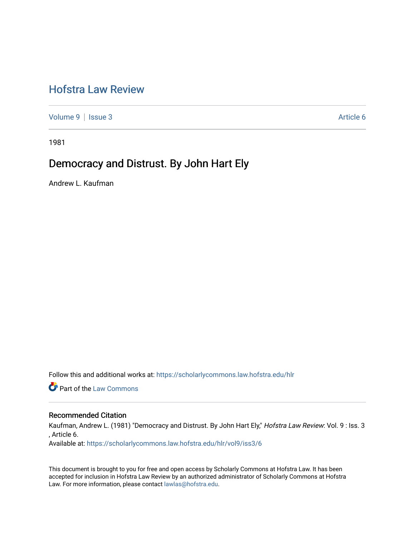# [Hofstra Law Review](https://scholarlycommons.law.hofstra.edu/hlr)

[Volume 9](https://scholarlycommons.law.hofstra.edu/hlr/vol9) | [Issue 3](https://scholarlycommons.law.hofstra.edu/hlr/vol9/iss3) Article 6

1981

## Democracy and Distrust. By John Hart Ely

Andrew L. Kaufman

Follow this and additional works at: [https://scholarlycommons.law.hofstra.edu/hlr](https://scholarlycommons.law.hofstra.edu/hlr?utm_source=scholarlycommons.law.hofstra.edu%2Fhlr%2Fvol9%2Fiss3%2F6&utm_medium=PDF&utm_campaign=PDFCoverPages)

**Part of the [Law Commons](http://network.bepress.com/hgg/discipline/578?utm_source=scholarlycommons.law.hofstra.edu%2Fhlr%2Fvol9%2Fiss3%2F6&utm_medium=PDF&utm_campaign=PDFCoverPages)** 

## Recommended Citation

Kaufman, Andrew L. (1981) "Democracy and Distrust. By John Hart Ely," Hofstra Law Review: Vol. 9: Iss. 3 , Article 6.

Available at: [https://scholarlycommons.law.hofstra.edu/hlr/vol9/iss3/6](https://scholarlycommons.law.hofstra.edu/hlr/vol9/iss3/6?utm_source=scholarlycommons.law.hofstra.edu%2Fhlr%2Fvol9%2Fiss3%2F6&utm_medium=PDF&utm_campaign=PDFCoverPages) 

This document is brought to you for free and open access by Scholarly Commons at Hofstra Law. It has been accepted for inclusion in Hofstra Law Review by an authorized administrator of Scholarly Commons at Hofstra Law. For more information, please contact [lawlas@hofstra.edu.](mailto:lawlas@hofstra.edu)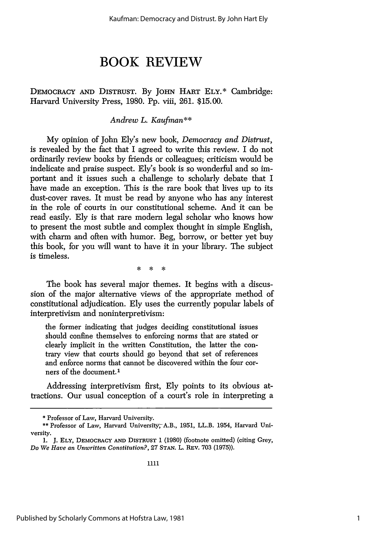# **BOOK REVIEW**

DEMOCRACY AND DISTRUST. By JOHN HART ELY.\* Cambridge: Harvard University Press, 1980. Pp. viii, 261. \$15.00.

### *Andrew L. Kaufman\*\**

My opinion of John Ely's new book, *Democracy and Distrust,* is revealed by the fact that I agreed to write this review. I do not ordinarily review books by friends or colleagues; criticism would be indelicate and praise suspect. Ely's book is so wonderful and so important and it issues such a challenge to scholarly debate that I have made an exception. This is the rare book that lives up to its dust-cover raves. It must be read by anyone who has any interest in the role of courts in our constitutional scheme. And it can be read easily. Ely is that rare modem legal scholar who knows how to present the most subtle and complex thought in simple English, with charm and often with humor. Beg, borrow, or better yet buy this book, for you will want to have it in your library. The subject is timeless.

> $\star$ **x**

The book has several major themes. It begins with a discussion of the major alternative views of the appropriate method of constitutional adjudication. Ely uses the currently popular labels of interpretivism and noninterpretivism:

the former indicating that judges deciding constitutional issues should confine themselves to enforcing norms that are stated or clearly implicit in the written Constitution, the latter the contrary view that courts should go beyond that set of references and enforce norms that cannot be discovered within the four corners of the document.<sup>1</sup>

Addressing interpretivism first, Ely points to its obvious attractions. Our usual conception of a court's role in interpreting a

<sup>\*</sup> Professor of Law, Harvard University.

<sup>\*\*</sup> Professor of Law, Harvard University,A.B., 1951, LL.B. 1954, Harvard University.

**<sup>1.</sup> J. ELY,** DEMOCRACY **AND DISTRUST** 1 (1980) (footnote omitted) (citing Grey, *Do We Have an Unwritten Constitution?,* **27 STAN.** L. REV. 703 (1975)).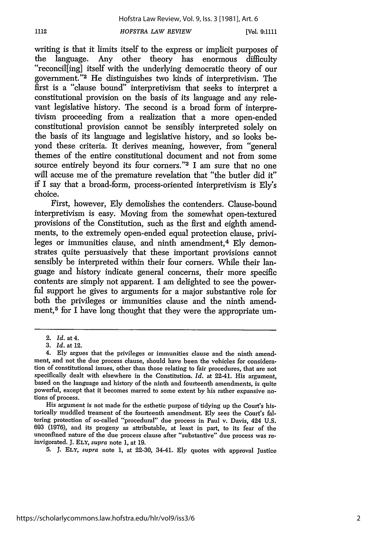writing is that it limits itself to the express or implicit purposes of the language. Any other theory has enormous difficulty "reconcillingl itself with the underlying democratic theory of our government."<sup>2</sup> He distinguishes two kinds of interpretivism. The first is a "clause bound" interpretivism that seeks to interpret a constitutional provision on the basis of its language and any relevant legislative history. The second is a broad form of interpretivism proceeding from a realization that a more open-ended constitutional provision cannot be sensibly interpreted solely on the basis of its language and legislative history, and so looks beyond these criteria. It derives meaning, however, from "general themes of the entire constitutional document and not from some source entirely beyond its four corners."<sup>3</sup> I am sure that no one will accuse me of the premature revelation that "the butler did it" if I say that a broad-form, process-oriented interpretivism is Ely's choice.

First, however, Ely demolishes the contenders. Clause-bound interpretivism is easy. Moving from the somewhat open-textured provisions of the Constitution, such as the first and eighth amendments, to the extremely open-ended equal protection clause, privileges or immunities clause, and ninth amendment,<sup>4</sup> Ely demonstrates quite persuasively that these important provisions cannot sensibly be interpreted within their four corners. While their language and history indicate general concerns, their more specific contents are simply not apparent. I am delighted to see the powerful support he gives to arguments for a major substantive role for both the privileges or immunities clause and the ninth amendment,<sup>5</sup> for I have long thought that they were the appropriate um-

1112

His argument is not made for the esthetic purpose of tidying up the Court's historically muddled treament of the fourteenth amendment. **Ely** sees the Court's faltering protection of so-called "procedural" due process in Paul v. Davis, 424 U.S. 693 (1976), and its progeny as attributable, at least in part, to its fear of the unconfined nature of the due process clause after "substantive" due process was re-<br>invigorated. J. ELY, *supra* note 1, at 19.

5. J. ELY, *supra* note 1, at 22-30, 34-41. Ely quotes with approval Justice

<sup>2.</sup> *Id.* at 4.

<sup>3.</sup> *Id.* at 12.

<sup>4.</sup> Ely argues that the privileges or immunities clause and the ninth amendment, and not the due process clause, should have been the vehicles for consideration of constitutional issues, other than those relating to fair procedures, that are not specifically dealt with elsewhere in the Constitution. *Id.* at 22-41. His argument, based on the language and history of the ninth and fourteenth amendments, is quite powerful, except that it becomes marred to some extent by his rather expansive no- tions of process.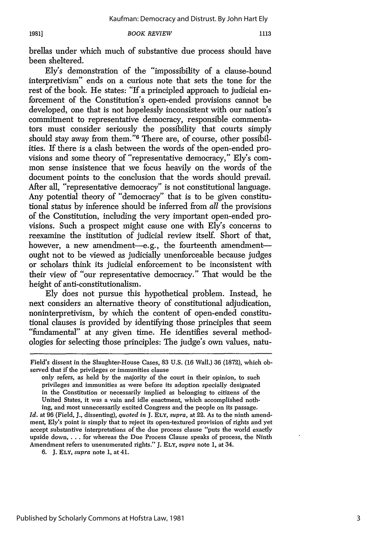*BOOK REVIEW*

brellas under which much of substantive due process should have been sheltered.

Ely's demonstration of the "impossibility of a clause-bound interpretivism" ends on a curious note that sets the tone for the rest of the book. He states: "If a principled approach to judicial enforcement of the Constitution's open-ended provisions cannot be developed, one that is not hopelessly inconsistent with our nation's commitment to representative democracy, responsible commentators must consider seriously the possibility that courts simply should stay away from them."<sup>6</sup> There are, of course, other possibilities. If there is a clash between the words of the open-ended provisions and some theory of "representative democracy," Ely's common sense insistence that we focus heavily on the words of the document points to the conclusion that the words should prevail. After all, "representative democracy" is not constitutional language. Any potential theory of "democracy" that is to be given constitutional status by inference should be inferred from *all* the provisions of the Constitution, including the very important open-ended provisions. Such a prospect might cause one with Ely's concerns to reexamine the institution of judicial review itself. Short of that, however, a new amendment-e.g., the fourteenth amendmentought not to be viewed as judicially unenforceable because judges or scholars think its judicial enforcement to be inconsistent with their view of "our representative democracy." That would be the height of anti-constitutionalism.

Ely does not pursue this hypothetical problem. Instead, he next considers an alternative theory of constitutional adjudication, noninterpretivism, by which the content of open-ended constitutional clauses is provided by identifying those principles that seem "fundamental" at any given time. He identifies several methodologies for selecting those principles: The judge's own values, natu-

6. J. ELY, *supra* note 1, at 41.

**1981]**

Field's dissent in the Slaughter-House Cases, 83 U.S. (16 Wall.) 36 (1872), which observed that if the privileges or immunities clause

only refers, as held by the majority of the court in their opinion, to such privileges and immunities as were before its adoption specially designated in the Constitution or necessarily implied as belonging to citizens of the United States, it was a vain and idle enactment, which accomplished nothing, and most unnecessarily excited Congress and the people on its passage.

*Id.* at 96 (Field, J., dissenting), *quoted in* J. **ELY,** *supra,* at 22. As to the ninth amendment, Ely's point is simply that to reject its open-textured provision of rights and yet accept substantive interpretations of the due process clause "puts the world exactly upside down **....** for whereas the Due Process Clause speaks of process, the Ninth Amendment refers to unenumerated rights." J. **ELY,** *supra* note 1, at 34.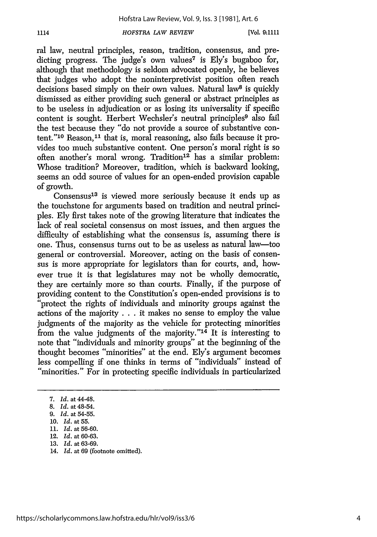**[Vol. 9:1111**

ral law, neutral principles, reason, tradition, consensus, and predicting progress. The judge's own values<sup>7</sup> is Ely's bugaboo for, although that methodology is seldom advocated openly, he believes that judges who adopt the noninterpretivist position often reach decisions based simply on their own values. Natural law<sup>8</sup> is quickly dismissed as either providing such general or abstract principles as to be useless in adjudication or as losing its universality if specific content is sought. Herbert Wechsler's neutral principles<sup>9</sup> also fail the test because they "do not provide a source of substantive content."<sup>10</sup> Reason,<sup>11</sup> that is, moral reasoning, also fails because it provides too much substantive content. One person's moral right is so often another's moral wrong. Tradition<sup>12</sup> has a similar problem: Whose tradition? Moreover, tradition, which is backward looking, seems an odd source of values for an open-ended provision capable of growth.

Consensus13 is viewed more seriously because it ends up as the touchstone for arguments based on tradition and neutral principles. Ely first takes note of the growing literature that indicates the lack of real societal consensus on most issues, and then argues the difficulty of establishing what the consensus is, assuming there is one. Thus, consensus turns out to be as useless as natural law-too general or controversial. Moreover, acting on the basis of consensus is more appropriate for legislators than for courts, and, however true it is that legislatures may not be wholly democratic, they are certainly more so than courts. Finally, if the purpose of providing content to the Constitution's open-ended provisions is to "protect the rights of individuals and minority groups against the actions of the majority  $\dots$  it makes no sense to employ the value judgments of the majority as the vehicle for protecting minorities from the value judgments of the majority." $14$  It is interesting to note that "individuals and minority groups" at the beginning of the thought becomes "minorities" at the end. Ely's argument becomes less compelling if one thinks in terms of "individuals" instead of "minorities." For in protecting specific individuals in particularized

*7. Id.* at 44-48.

- **11.** *Id.* at 56-60.
- 12. *Id.* at 60-63.
- 13. *Id.* at 63-69.
- 14. *Id.* at 69 (footnote omitted).

<sup>8.</sup> *Id.* at 48-54.

<sup>9.</sup> *Id.* at 54-55.

<sup>10.</sup> *Id.* at 55.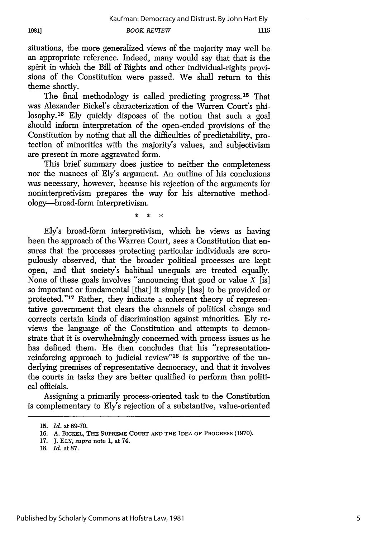situations, the more generalized views of the majority may well be an appropriate reference. Indeed, many would say that that is the spirit in which the Bill of Rights and other individual-rights provisions of the Constitution were passed. We shall return to this theme shortly.

The final methodology is called predicting progress.<sup>15</sup> That was Alexander Bickel's characterization of the Warren Court's philosophy.<sup>16</sup> Ely quickly disposes of the notion that such a goal should inform interpretation of the open-ended provisions of the Constitution by noting that all the difficulties of predictability, protection of minorities with the majority's values, and subjectivism are present in more aggravated form.

This brief summary does justice to neither the completeness nor the nuances of Ely's argument. An outline of his conclusions was necessary, however, because his rejection of the arguments for noninterpretivism prepares the way for his alternative methodology-broad-form interpretivism.

> $\ddot{\phantom{a}}$  $\ast$  $\mathbf{x}$

Ely's broad-form interpretivism, which he views as having been the approach of the Warren Court, sees a Constitution that ensures that the processes protecting particular individuals are scrupulously observed, that the broader political processes are kept open, and that society's habitual unequals are treated equally. None of these goals involves "announcing that good or value  $X$  [is] so important or fundamental [that] it simply [has] to be provided or protected."<sup>17</sup> Rather, they indicate a coherent theory of representative government that clears the channels of political change and corrects certain kinds of discrimination against minorities. Ely reviews the language of the Constitution and attempts to demonstrate that it is overwhelmingly concerned with process issues as he has defined them. He then concludes that his "representationreinforcing approach to judicial review"18 is supportive of the underlying premises of representative democracy, and that it involves the courts in tasks they are better qualified to perform than political officials.

Assigning a primarily process-oriented task to the Constitution is complementary to Ely's rejection of a substantive, value-oriented

18. *Id.* at 87.

<sup>15.</sup> *Id.* at 69-70.

**<sup>16.</sup> A.** BICKEL, THE **SUPREME COURT AND** THE IDEA OF **PROGRESS** (1970).

<sup>17.</sup> J. **ELY,** supra note **1,** at 74.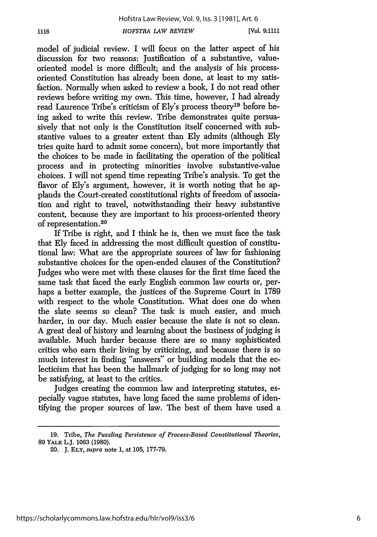1116

model of judicial review. I will focus on the latter aspect of his discussion for two reasons: Justification of a substantive, valueoriented model is more difficult; and the analysis of his processoriented Constitution has already been done, at least to my satisfaction. Normally when asked to review a book, I do not read other reviews before writing my own. This time, however, I had already read Laurence Tribe's criticism of Ely's process theory19 before being asked to write this review. Tribe demonstrates quite persuasively that not only is the Constitution itself concerned with substantive values to a greater extent than Ely admits (although Ely tries quite hard to admit some concern), but more importantly that the choices to be made in facilitating the operation of the political process and in protecting minorities involve substantive-value choices. I will not spend time repeating Tribe's analysis. To get the flavor of Ely's argument, however, it is worth noting that he applauds the Court-created constitutional rights of freedom of association and right to travel, notwithstanding their heavy substantive content, because they are important to his process-oriented theory of representation.<sup>20</sup>

If Tribe is right, and I think he is, then we must face the task that Ely faced in addressing the most difficult question of constitutional law: What are the appropriate sources of law for fashioning substantive choices for the open-ended clauses of the Constitution? Judges who were met with these clauses for the first time faced the same task that faced the early English common law courts or, perhaps a better example, the justices of the Supreme Court in 1789 with respect to the whole Constitution. What does one do when the slate seems so clean? The task is much easier, and much harder, in our day. Much easier because the slate is not so clean. A great deal of history and learning about the business of judging is available. Much harder because there are so many sophisticated critics who earn their living by criticizing, and because there is so much interest in finding "answers" or building models that the eclecticism that has been the hallmark of judging for so long may not be satisfying, at least to the critics.

Judges creating the common law and interpreting statutes, especially vague statutes, have long faced the same problems of identifying the proper sources of law. The best of them have used a

**<sup>19.</sup>** Tribe, *The Puzzling Persistence of Process-Based Constitutional Theories,* **89** YALE L.J. **1063 (1980).**

<sup>20.</sup> J. ELY, *supra* note 1, at 105, 177-79.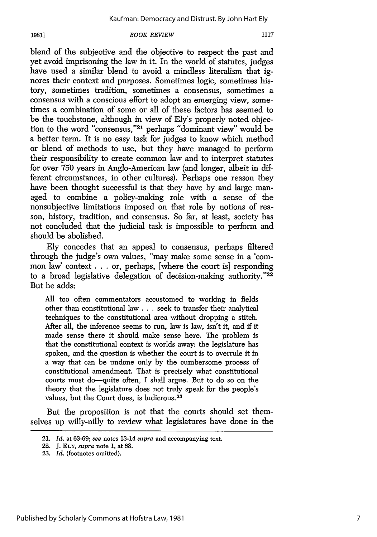### **1981]**

#### *BOOK REVIEW*

blend of the subjective and the objective to respect the past and yet avoid imprisoning the law in it. In the world of statutes, judges have used a similar blend to avoid a mindless literalism that ignores their context and purposes. Sometimes logic, sometimes history, sometimes tradition, sometimes a consensus, sometimes a consensus with a conscious effort to adopt an emerging view, sometimes a combination of some or all of these factors has seemed to be the touchstone, although in view of Ely's properly noted objection to the word "consensus,"<sup>21</sup> perhaps "dominant view" would be a better term. It is no easy task for judges to know which method or blend of methods to use, but they have managed to perform their responsibility to create common law and to interpret statutes for over 750 years in Anglo-American law (and longer, albeit in different circumstances, in other cultures). Perhaps one reason they have been thought successful is that they have by and large managed to combine a policy-making role with a sense of the nonsubjective limitations imposed on that role by notions of reason, history, tradition, and consensus. So far, at least, society has not concluded that the judicial task is impossible to perform and should be abolished.

Ely concedes that an appeal to consensus, perhaps filtered through the judge's own values, "may make some sense in a 'common law' context **. . .** or, perhaps, [where the court is] responding to a broad legislative delegation of decision-making authority." $22$ But he adds:

All too often commentators accustomed to working in fields other than constitutional law **...** seek to transfer their analytical techniques to the constitutional area without dropping a stitch. After all, the inference seems to run, law is law, isn't it, and if it made sense there it should make sense here. The problem is that the constitutional context is worlds away: the legislature has spoken, and the question is whether the court is to overrule it in a way that can be undone only by the cumbersome process of constitutional amendment. That is precisely what constitutional courts must do—quite often, I shall argue. But to do so on the theory that the legislature does not truly speak for the people's values, but the Court does, is ludicrous. <sup>23</sup>

But the proposition is not that the courts should set themselves up willy-nilly to review what legislatures have done in the

<sup>21.</sup> *Id.* at 63-69; *see* notes 13-14 *supra* and accompanying text.

<sup>22.</sup> J. ELY, *supra* note 1, at 68.

**<sup>23.</sup>** *Id.* (footnotes omitted).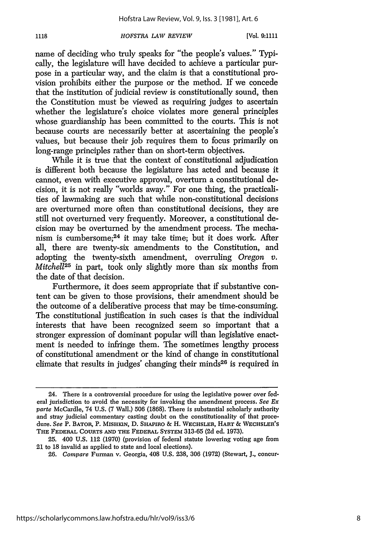1118

name of deciding who truly speaks for "the people's values." Typically, the legislature will have decided to achieve a particular purpose in a particular way, and the claim is that a constitutional provision prohibits either the purpose or the method. If we concede that the institution of judicial review is constitutionally sound, then the Constitution must be viewed as requiring judges to ascertain whether the legislature's choice violates more general principles whose guardianship has been committed to the courts. This is not because courts are necessarily better at ascertaining the people's values, but because their job requires them to focus primarily on long-range principles rather than on short-term objectives.

While it is true that the context of constitutional adjudication is different both because the legislature has acted and because it cannot, even with executive approval, overturn a constitutional decision, it is not really "worlds away." For one thing, the practicalities of lawmaking are such that while non-constitutional decisions are overturned more often than constitutional decisions, they are still not overturned very frequently. Moreover, a constitutional decision may be overturned by the amendment process. The mechanism is cumbersome;<sup>24</sup> it may take time; but it does work. After all, there are twenty-six amendments to the Constitution, and adopting the twenty-sixth amendment, overruling *Oregon v. Mitchell*<sup>25</sup> in part, took only slightly more than six months from the date of that decision.

Furthermore, it does seem appropriate that if substantive content can be given to those provisions, their amendment should be the outcome of a deliberative process that may be time-consuming. The constitutional justification in such cases is that the individual interests that have been recognized seem so important that a stronger expression of dominant popular will than legislative enactment is needed to infringe them. The sometimes lengthy process of constitutional amendment or the kind of change in constitutional climate that results in judges' changing their minds<sup>26</sup> is required in

<sup>24.</sup> There is a controversial procedure for using the legislative power over federal jurisdiction to avoid the necessity for invoking the amendment process. *See Ex* parte McCardle, 74 U.S. (7 Wall.) 506 (1868). There is substantial scholarly authority and stray judicial commentary casting doubt on the constitutionality of that procedure. *See* P. **BATOR,** P. **MISHIKN, D. SHAPIRO** *&* H. **WECHSLER, HART** *&* **WECHSLER'S** THE FEDERAL **COURTS AND** THE FEDERAL SYSTEM 313-65 **(2d** ed. 1973).

**<sup>25.</sup>** 400 U.S. 112 (1970) (provision of federal statute lowering voting age from 21 to 18 invalid as applied to state and local elections).

<sup>26.</sup> *Compare* Furman v. Georgia, 408 U.S. 238, 306 (1972) (Stewart, J., concur-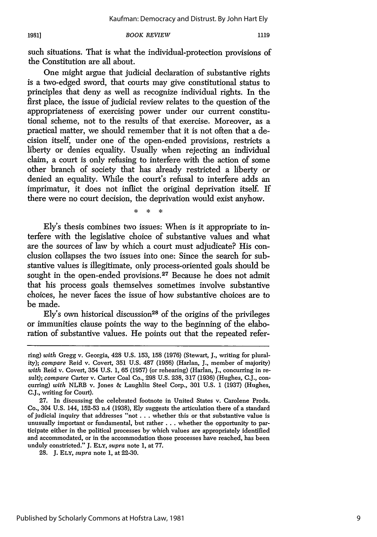*BOOK REVIEW* **1981]**

such situations. That is what the individual-protection provisions of the Constitution are all about.

One might argue that judicial declaration of substantive rights is a two-edged sword, that courts may give constitutional status to principles that deny as well as recognize individual rights. In the first place, the issue of judicial review relates to the question of the appropriateness of exercising power under our current constitutional scheme, not to the results of that exercise. Moreover, as a practical matter, we should remember that it is not often that a decision itself, under one of the open-ended provisions, restricts a liberty or denies equality. Usually when rejecting an individual claim, a court is only refusing to interfere with the action of some other branch of society that has already restricted a liberty or denied an equality. While the court's refusal to interfere adds an imprimatur, it does not inflict the original deprivation itself. If there were no court decision, the deprivation would exist anyhow.

> $\star$  $\star$  $\ddot{\phantom{a}}$

Ely's thesis combines two issues: When is it appropriate to interfere with the legislative choice of substantive values and what are the sources of law by which a court must adjudicate? His conclusion collapses the two issues into one: Since the search for substantive values is illegitimate, only process-oriented goals should be sought in the open-ended provisions.<sup>27</sup> Because he does not admit that his process goals themselves sometimes involve substantive choices, he never faces the issue of how substantive choices are to be made.

 $Ely's$  own historical discussion<sup>28</sup> of the origins of the privileges or immunities clause points the way to the beginning of the elaboration of substantive values. He points out that the repeated refer-

ring) *with* Gregg v. Georgia, 428 U.S. 153, 158 (1976) (Stewart, J., writing for plurality); *compare* Reid v. Covert, 351 U.S. 487 (1956) (Harlan, **J.,** member of majority) with Reid v. Covert, 354 U.S. 1, 65 (1957) (or rehearing) (Harlan, J., concurring in result); *compare* Carter v. Carter Coal Co., 298 U.S. 238, 317 (1936) (Hughes, C.J., concurring) *with* NLRB v. Jones & Laughlin Steel Corp., 301 U.S. 1 (1937) (Hughes, **C.J.,** writing for Court).

**<sup>27.</sup>** In discussing the celebrated footnote in United States v. Carolene Prods. Co., 304 **U.S.** 144, 152-53 **nA (1938), Ely** suggests the articulation there of a standard of judicial inquiry that addresses "not **. . .** whether this or that substantive value is unusually important or fundamental, but rather **...** whether the opportunity to participate either in the political processes **by** which values are appropriately identified and accommodated, or in the accommodation those processes have reached, has been unduly constricted." **J. ELY,** *supra* note **1,** at **77.**

**<sup>28.</sup> J. ELY,** *supra* note **1,** at **22-30.**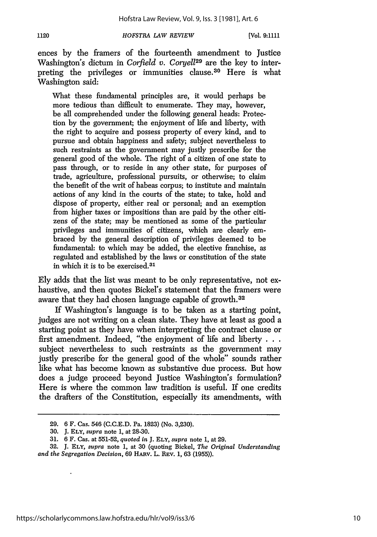ences by the framers of the fourteenth amendment to Justice Washington's dictum in *Corfield v. Coryel129* are the key to interpreting the privileges or immunities clause.<sup>30</sup> Here is what Washington said:

What these fundamental principles are, it would perhaps be more tedious than difficult to enumerate. They may, however, be all comprehended under the following general heads: Protection by the government; the enjoyment of life and liberty, with the right to acquire and possess property of every kind, and to pursue and obtain happiness and safety; subject nevertheless to such restraints as the government may justly prescribe for the general good of the whole. The right of a citizen of one state to pass through, or to reside in any other state, for purposes of trade, agriculture, professional pursuits, or otherwise; to claim the benefit of the writ of habeas corpus; to institute and maintain actions of any kind in the courts of the state; to take, hold and dispose of property, either real or personal; and an exemption from higher taxes or impositions than are paid by the other citizens of the state; may be mentioned as some of the particular privileges and immunities of citizens, which are clearly embraced by the general description of privileges deemed to be fundamental: to which may be added, the elective franchise, as regulated and established by the laws or constitution of the state in which it is to be exercised. <sup>31</sup>

Ely adds that the list was meant to be only representative, not exhaustive, and then quotes Bickel's statement that the framers were aware that they had chosen language capable of growth. <sup>32</sup>

If Washington's language is to be taken as a starting point, judges are not writing on a clean slate. They have at least as good a starting point as they have when interpreting the contract clause or first amendment. Indeed, "the enjoyment of life and liberty **. . .** subject nevertheless to such restraints as the government may justly prescribe for the general good of the whole" sounds rather like what has become known as substantive due process. But how does a judge proceed beyond Justice Washington's formulation? Here is where the common law tradition is useful. If one credits the drafters of the Constitution, especially its amendments, with

<sup>29. 6</sup> F. Cas. 546 (C.C.E.D. Pa. 1823) (No. 3,230).

<sup>30.</sup> J. **ELY,** *supra* note 1, at 28-30.

<sup>31. 6</sup> F. Cas. at 551-52, *quoted in* J. ELY, *supra* note 1, at 29.

**<sup>32.</sup>** J. **ELY,** *supra* note 1, at 30 (quoting Bickel, *The Original Understanding and the Segregation Decision,* 69 HARv. L. REV. 1, 63 (1955)).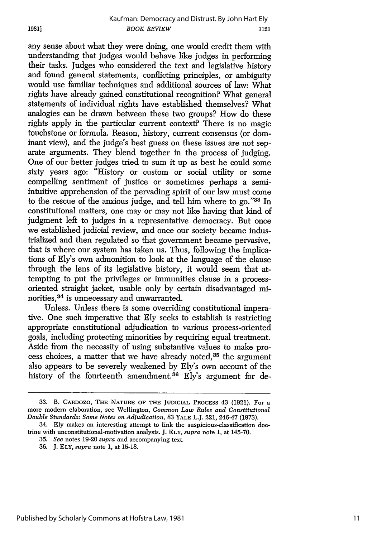any sense about what they were doing, one would credit them with understanding that judges would behave like judges in performing their tasks. Judges who considered the text and legislative history and found general statements, conflicting principles, or ambiguity would use familiar techniques and additional sources of law: What rights have already gained constitutional recognition? What general statements of individual rights have established themselves? What analogies can be drawn between these two groups? How do these rights apply in the particular current context? There is no magic touchstone or formula. Reason, history, current consensus (or dominant view), and the judge's best guess on these issues are not separate arguments. They blend together in the process of judging. One of our better judges tried to sum it up as best he could some sixty years ago: "History or custom or social utility or some compelling sentiment of justice or sometimes perhaps a semiintuitive apprehension of the pervading spirit of our law must come to the rescue of the anxious judge, and tell him where to go."33 In constitutional matters, one may or may not like having that kind of judgment left to judges in a representative democracy. But once we established judicial review, and once our society became industrialized and then regulated so that government became pervasive, that is where our system has taken us. Thus, following the implications of Ely's own admonition to look at the language of the clause through the lens of its legislative history, it would seem that attempting to put the privileges or immunities clause in a processoriented straight jacket, usable only by certain disadvantaged minorities, 34 is unnecessary and unwarranted.

Unless. Unless there is some overriding constitutional imperative. One such imperative that Ely seeks to establish is restricting appropriate constitutional adjudication to various process-oriented goals, including protecting minorities by requiring equal treatment. Aside from the necessity of using substantive values to make process choices, a matter that we have already noted, 35 the argument also appears to be severely weakened by Ely's own account of the history of the fourteenth amendment.<sup>36</sup> Ely's argument for de-

**1981]**

**<sup>33.</sup>** B. CARDOZO, THE NATURE OF THE **JUDICIAL** PROCESS 43 **(1921).** For a more modem elaboration, see Wellington, *Common Law Rules and Constitutional Double Standards: Some Notes on Adjudication,* **83** YALE L.J. 221, 246-47 **(1973).**

<sup>34.</sup> Ely makes an interesting attempt to link the suspicious-classification **doc**trine with unconstitutional-motivation analysis. J. ELY, *supra* note **1,** at 145-70.

<sup>35.</sup> *See* notes **19-20** *supra* and accompanying text.

**<sup>36.</sup>** J. **ELY,** *supra* note **1,** at **15-18.**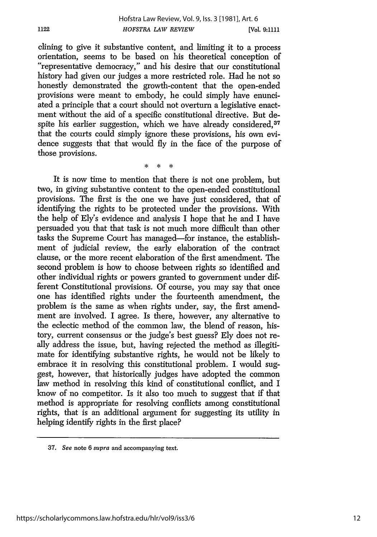clining to give it substantive content, and limiting it to a process "representative democracy," and his desire that our constitutional history had given our judges a more restricted role. Had he not so honestly demonstrated the growth-content that the open-ended provisions were meant to embody, he could simply have enunciated a principle that a court should not overturn a legislative enactment without the aid of a specific constitutional directive. But despite his earlier suggestion, which we have already considered.<sup>37</sup> that the courts could simply ignore these provisions, his own evidence suggests that that would fly in the face of the purpose of those provisions.

1122

It is now time to mention that there is not one problem, but two, in giving substantive content to the open-ended constitutional provisions. The first is the one we have just considered, that of identifying the rights to be protected under the provisions. With the help of Ely's evidence and analysis I hope that he and I have persuaded you that that task is not much more difficult than other tasks the Supreme Court has managed-for instance, the establishment of judicial review, the early elaboration of the contract clause, or the more recent elaboration of the first amendment. The second problem is how to choose between rights so identified and other individual rights or powers granted to government under different Constitutional provisions. Of course, you may say that once one has identified rights under the fourteenth amendment, the problem is the same as when rights under, say, the first amendment are involved. I agree. Is there, however, any alternative to the eclectic method of the common law, the blend of reason, history, current consensus or the judge's best guess? Ely does not really address the issue, but, having rejected the method as illegitimate for identifying substantive rights, he would not be likely to embrace it in resolving this constitutional problem. I would suggest, however, that historically judges have adopted the common law method in resolving this kind of constitutional conflict, and I know of no competitor. Is it also too much to suggest that if that method is appropriate for resolving conflicts among constitutional rights, that is an additional argument for suggesting its utility in helping identify rights in the first place?

<sup>37.</sup> *See* note 6 supra and accompanying text.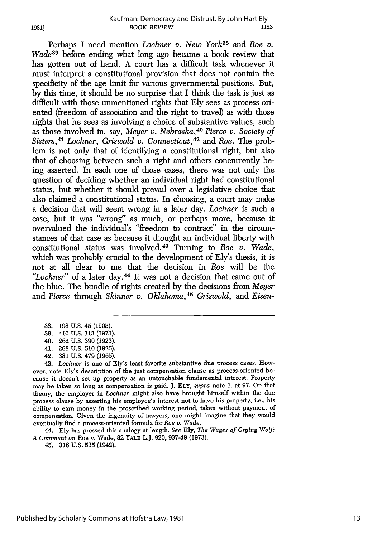Perhaps I need mention *Lochner v. New York*<sup>38</sup> and Roe v. *Wade*<sup>39</sup> before ending what long ago became a book review that has gotten out of hand. A court has a difficult task whenever it must interpret a constitutional provision that does not contain the specificity of the age limit for various governmental positions. But, by this time, it should be no surprise that I think the task is just as difficult with those unmentioned rights that Ely sees as process oriented (freedom of association and the right to travel) as with those rights that he sees as involving a choice of substantive values, such as those involved in, say, *Meyer v. Nebraska,40 Pierce v. Society of Sisters,41 Lochner, Griswold v. Connecticut,42* and *Roe.* The problem is not only that of identifying a constitutional right, but also that of choosing between such a right and others concurrently being asserted. In each one of those cases, there was not only the question of deciding whether an individual right had constitutional status, but whether it should prevail over a legislative choice that also claimed a constitutional status. In choosing, a court may make a decision that will seem wrong in a later day. *Lochner* is such a case, but it was "wrong" as much, or perhaps more, because it overvalued the individual's "freedom to contract" in the circumstances of that case as because it thought an individual liberty with constitutional status was involved. 43 Turning to *Roe v. Wade,* which was probably crucial to the development of Ely's thesis, it is not at all clear to me that the decision in *Roe* will be the *"Lochner"* of a later day.44 It was not a decision that came out of the blue. The bundle of rights created by the decisions from *Meyer* and *Pierce* through *Skinner v. Oklahoma,45 Griswold, and Eisen-*

44. Ely has pressed this analogy at length. *See* Ely, *The Wages of Crying Wolf: A Comment* on Roe v. Wade, 82 YALE L.J. 920, 937-49 (1973).

45. 316 U.S. 535 (1942).

<sup>38. 198</sup> U.S. 45 (1905).

<sup>39. 410</sup> U.S. 113 (1973).

<sup>40. 262</sup> U.S. 390 (1923).

<sup>41. 268</sup> U.S. 510 (1925).

<sup>42. 381</sup> U.S. 479 (1965).

<sup>43.</sup> *Lochner* is one of Ely's least favorite substantive due process cases. However, note Ely's description of the just compensation clause as process-oriented because it doesn't set up property as an untouchable fundamental interest. Property may be taken so long as compensation is paid. **J. ELY,** supra note 1, at 97. On that theory, the employer in *Lochner* might also have brought himself within the due process clause by asserting his employee's interest not to have his property, i.e., his ability to earn money in the proscribed working period, taken without payment of compensation. Given the ingenuity of lawyers, one might imagine that they would eventually find a process-oriented formula for *Roe v. Wade.*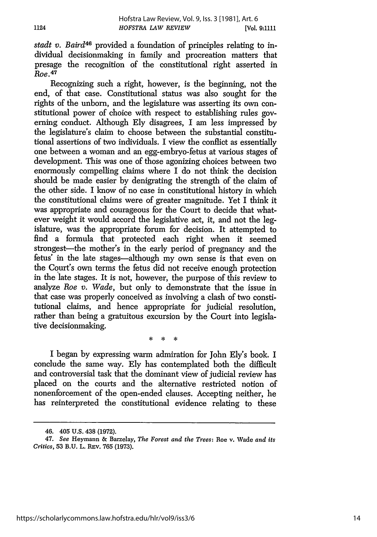*stadt v. Baird46* provided a foundation of principles relating to individual decisionmaking in family and procreation matters that presage the recognition of the constitutional right asserted in *Roe.<sup>4</sup> <sup>7</sup>*

Recognizing such a right, however, is the beginning, not the end, of that case. Constitutional status was also sought for the rights of the unborn, and the legislature was asserting its own constitutional power of choice with respect to establishing rules governing conduct. Although Ely disagrees, I am less impressed by the legislature's claim to choose between the substantial constitutional assertions of two individuals. I view the conflict as essentially one between a woman and an egg-embryo-fetus at various stages of development. This was one of those agonizing choices between two enormously compelling claims where I do not think the decision should be made easier by denigrating the strength of the claim of the other side. I know of no case in constitutional history in which the constitutional claims were of greater magnitude. Yet I think it was appropriate and courageous for the Court to decide that whatever weight it would accord the legislative act, it, and not the legislature, was the appropriate forum for decision. It attempted to find a formula that protected each right when it seemed strongest—the mother's in the early period of pregnancy and the fetus' in the late stages-although my own sense is that even on the Court's own terms the fetus did not receive enough protection in the late stages. It is not, however, the purpose of this review to analyze *Roe v. Wade,* but only to demonstrate that the issue in that case was properly conceived as involving a clash of two constitutional claims, and hence appropriate for judicial resolution, rather than being a gratuitous excursion by the Court into legislative decisionmaking.

> $\star$ sk. طه

I began by expressing warm admiration for John Ely's book. I conclude the same way. Ely has contemplated both the difficult and controversial task that the dominant view of judicial review has placed on the courts and the alternative restricted notion of nonenforcement of the open-ended clauses. Accepting neither, he has reinterpreted the constitutional evidence relating to these

<sup>46. 405</sup> U.S. 438 (1972).

<sup>47.</sup> *See* Heymann & Barzelay, *The Forest and the Trees:* Roe v. Wade *and its Critics,* 53 B.U. L. REv. 765 (1973).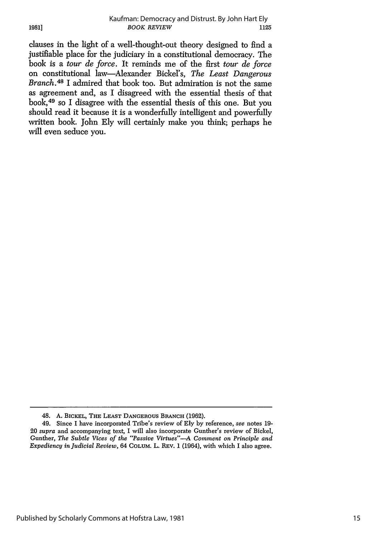clauses in the light of a well-thought-out theory designed to find a justifiable place for the judiciary in a constitutional democracy. The book is a *tour de force.* It reminds me of the first *tour de force* on constitutional law-Alexander Bickel's, *The Least Dangerous Branch.48* I admired that book too. But admiration is not the same as agreement and, as I disagreed with the essential thesis of that book,<sup>49</sup> so I disagree with the essential thesis of this one. But you should read it because it is a wonderfully intelligent and powerfully written book. John Ely will certainly make you think; perhaps he will even seduce you.

**1981]**

<sup>48.</sup> A. BICKEL, THE **LEAST** DANGEROUS BRANCH **(1962).**

<sup>49.</sup> Since I have incorporated Tribe's review of **Ely** by reference, *see* notes 19- 20 *supra* and accompanying text, I will also incorporate Gunther's review of Bickel, Gunther, *The Subtle Vices of the "Passive Virtues"--A Comment on Principle and Expediency in Judicial Review,* 64 COLUM. L. REv. 1 (1964), with which I also agree.